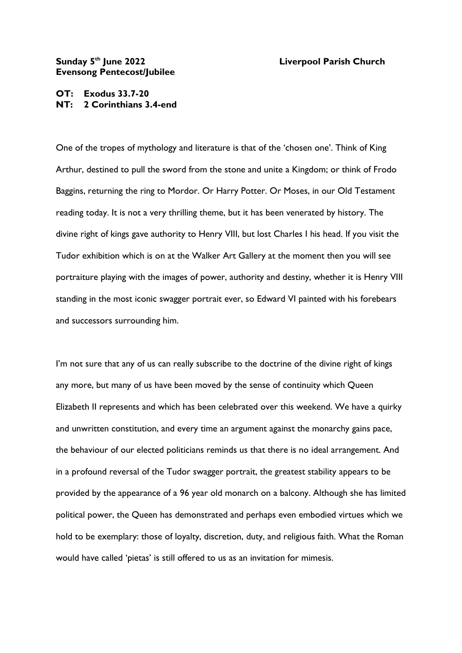## **Sunday 5 Evensong Pentecost/Jubilee**

## **Liverpool Parish Church**

## **OT: Exodus 33.7-20 NT: 2 Corinthians 3.4-end**

One of the tropes of mythology and literature is that of the 'chosen one'. Think of King Arthur, destined to pull the sword from the stone and unite a Kingdom; or think of Frodo Baggins, returning the ring to Mordor. Or Harry Potter. Or Moses, in our Old Testament reading today. It is not a very thrilling theme, but it has been venerated by history. The divine right of kings gave authority to Henry VIII, but lost Charles I his head. If you visit the Tudor exhibition which is on at the Walker Art Gallery at the moment then you will see portraiture playing with the images of power, authority and destiny, whether it is Henry VIII standing in the most iconic swagger portrait ever, so Edward VI painted with his forebears and successors surrounding him.

I'm not sure that any of us can really subscribe to the doctrine of the divine right of kings any more, but many of us have been moved by the sense of continuity which Queen Elizabeth II represents and which has been celebrated over this weekend. We have a quirky and unwritten constitution, and every time an argument against the monarchy gains pace, the behaviour of our elected politicians reminds us that there is no ideal arrangement. And in a profound reversal of the Tudor swagger portrait, the greatest stability appears to be provided by the appearance of a 96 year old monarch on a balcony. Although she has limited political power, the Queen has demonstrated and perhaps even embodied virtues which we hold to be exemplary: those of loyalty, discretion, duty, and religious faith. What the Roman would have called 'pietas' is still offered to us as an invitation for mimesis.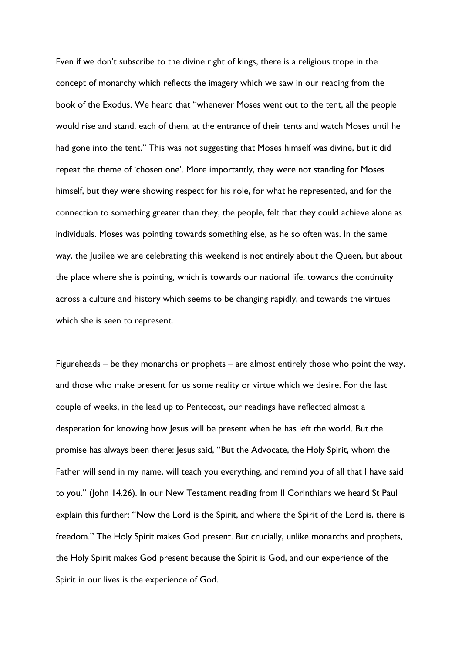Even if we don't subscribe to the divine right of kings, there is a religious trope in the concept of monarchy which reflects the imagery which we saw in our reading from the book of the Exodus. We heard that "whenever Moses went out to the tent, all the people would rise and stand, each of them, at the entrance of their tents and watch Moses until he had gone into the tent." This was not suggesting that Moses himself was divine, but it did repeat the theme of 'chosen one'. More importantly, they were not standing for Moses himself, but they were showing respect for his role, for what he represented, and for the connection to something greater than they, the people, felt that they could achieve alone as individuals. Moses was pointing towards something else, as he so often was. In the same way, the Jubilee we are celebrating this weekend is not entirely about the Queen, but about the place where she is pointing, which is towards our national life, towards the continuity across a culture and history which seems to be changing rapidly, and towards the virtues which she is seen to represent.

Figureheads – be they monarchs or prophets – are almost entirely those who point the way, and those who make present for us some reality or virtue which we desire. For the last couple of weeks, in the lead up to Pentecost, our readings have reflected almost a desperation for knowing how Jesus will be present when he has left the world. But the promise has always been there: Jesus said, "But the Advocate, the Holy Spirit, whom the Father will send in my name, will teach you everything, and remind you of all that I have said to you." (John 14.26). In our New Testament reading from II Corinthians we heard St Paul explain this further: "Now the Lord is the Spirit, and where the Spirit of the Lord is, there is freedom." The Holy Spirit makes God present. But crucially, unlike monarchs and prophets, the Holy Spirit makes God present because the Spirit is God, and our experience of the Spirit in our lives is the experience of God.